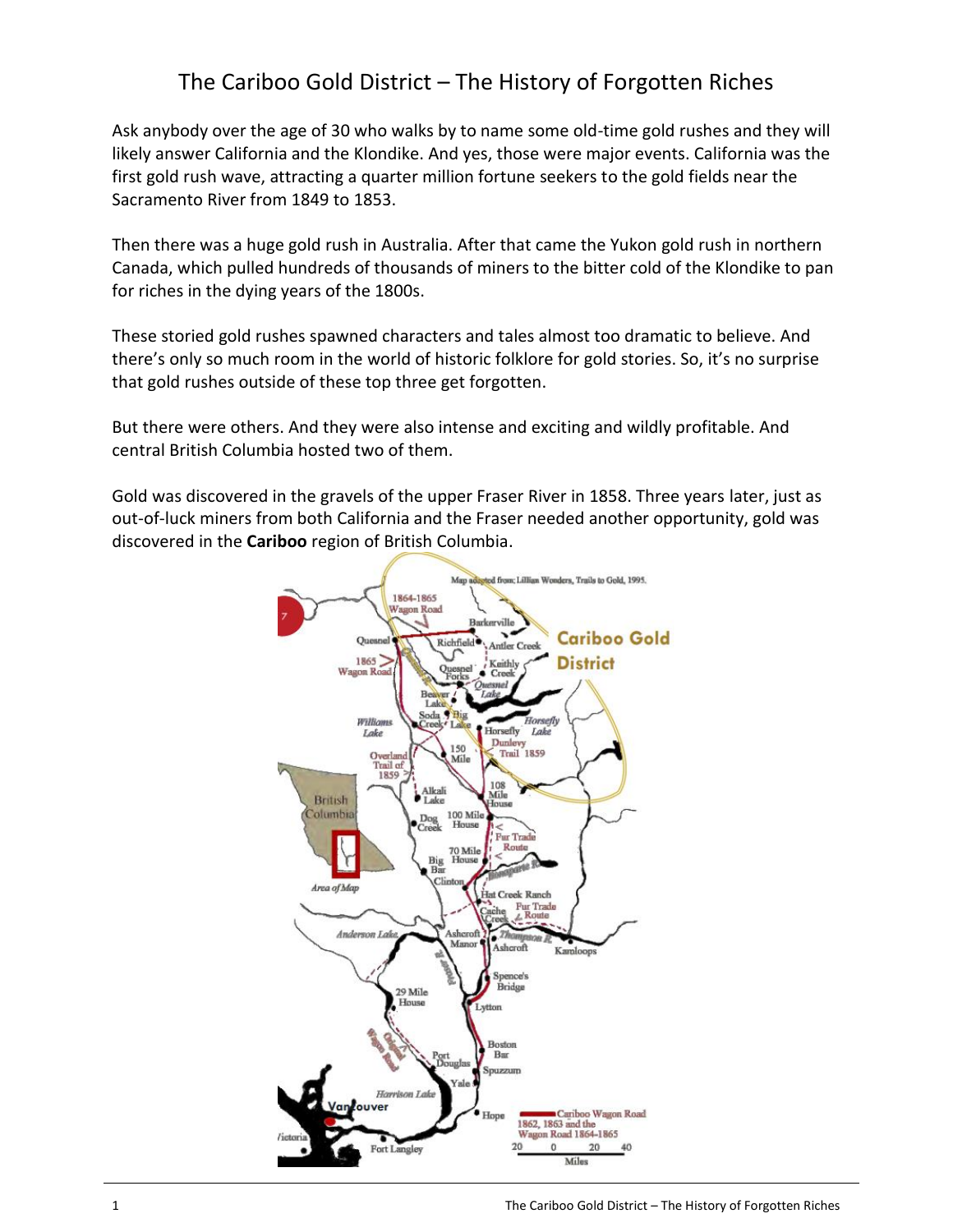## The Cariboo Gold District – The History of Forgotten Riches

Ask anybody over the age of 30 who walks by to name some old-time gold rushes and they will likely answer California and the Klondike. And yes, those were major events. California was the first gold rush wave, attracting a quarter million fortune seekers to the gold fields near the Sacramento River from 1849 to 1853.

Then there was a huge gold rush in Australia. After that came the Yukon gold rush in northern Canada, which pulled hundreds of thousands of miners to the bitter cold of the Klondike to pan for riches in the dying years of the 1800s.

These storied gold rushes spawned characters and tales almost too dramatic to believe. And there's only so much room in the world of historic folklore for gold stories. So, it's no surprise that gold rushes outside of these top three get forgotten.

But there were others. And they were also intense and exciting and wildly profitable. And central British Columbia hosted two of them.

Gold was discovered in the gravels of the upper Fraser River in 1858. Three years later, just as out-of-luck miners from both California and the Fraser needed another opportunity, gold was discovered in the **Cariboo** region of British Columbia.

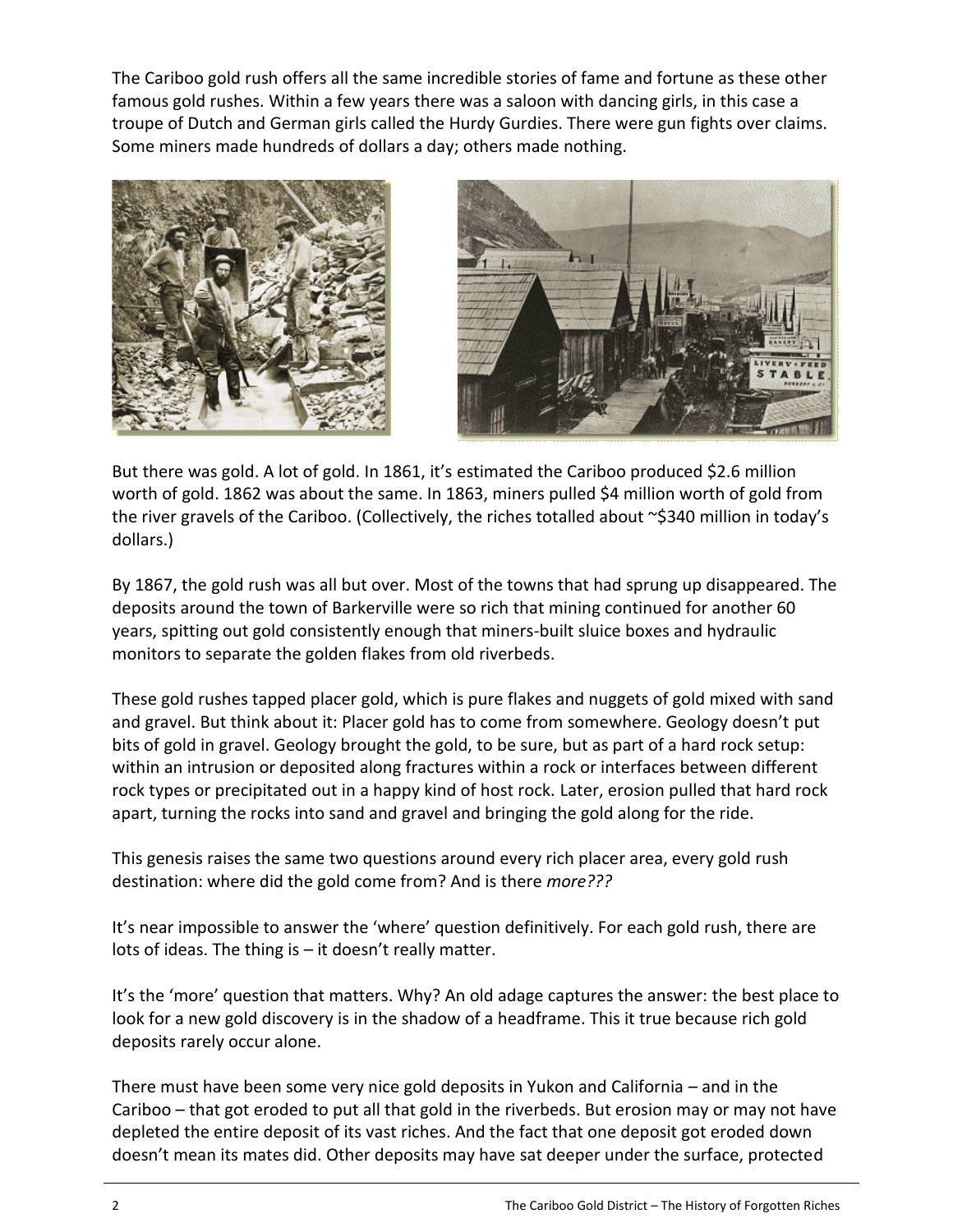The Cariboo gold rush offers all the same incredible stories of fame and fortune as these other famous gold rushes. Within a few years there was a saloon with dancing girls, in this case a troupe of Dutch and German girls called the Hurdy Gurdies. There were gun fights over claims. Some miners made hundreds of dollars a day; others made nothing.





But there was gold. A lot of gold. In 1861, it's estimated the Cariboo produced \$2.6 million worth of gold. 1862 was about the same. In 1863, miners pulled \$4 million worth of gold from the river gravels of the Cariboo. (Collectively, the riches totalled about ~\$340 million in today's dollars.)

By 1867, the gold rush was all but over. Most of the towns that had sprung up disappeared. The deposits around the town of Barkerville were so rich that mining continued for another 60 years, spitting out gold consistently enough that miners-built sluice boxes and hydraulic monitors to separate the golden flakes from old riverbeds.

These gold rushes tapped placer gold, which is pure flakes and nuggets of gold mixed with sand and gravel. But think about it: Placer gold has to come from somewhere. Geology doesn't put bits of gold in gravel. Geology brought the gold, to be sure, but as part of a hard rock setup: within an intrusion or deposited along fractures within a rock or interfaces between different rock types or precipitated out in a happy kind of host rock. Later, erosion pulled that hard rock apart, turning the rocks into sand and gravel and bringing the gold along for the ride.

This genesis raises the same two questions around every rich placer area, every gold rush destination: where did the gold come from? And is there *more???*

It's near impossible to answer the 'where' question definitively. For each gold rush, there are lots of ideas. The thing is – it doesn't really matter.

It's the 'more' question that matters. Why? An old adage captures the answer: the best place to look for a new gold discovery is in the shadow of a headframe. This it true because rich gold deposits rarely occur alone.

There must have been some very nice gold deposits in Yukon and California – and in the Cariboo – that got eroded to put all that gold in the riverbeds. But erosion may or may not have depleted the entire deposit of its vast riches. And the fact that one deposit got eroded down doesn't mean its mates did. Other deposits may have sat deeper under the surface, protected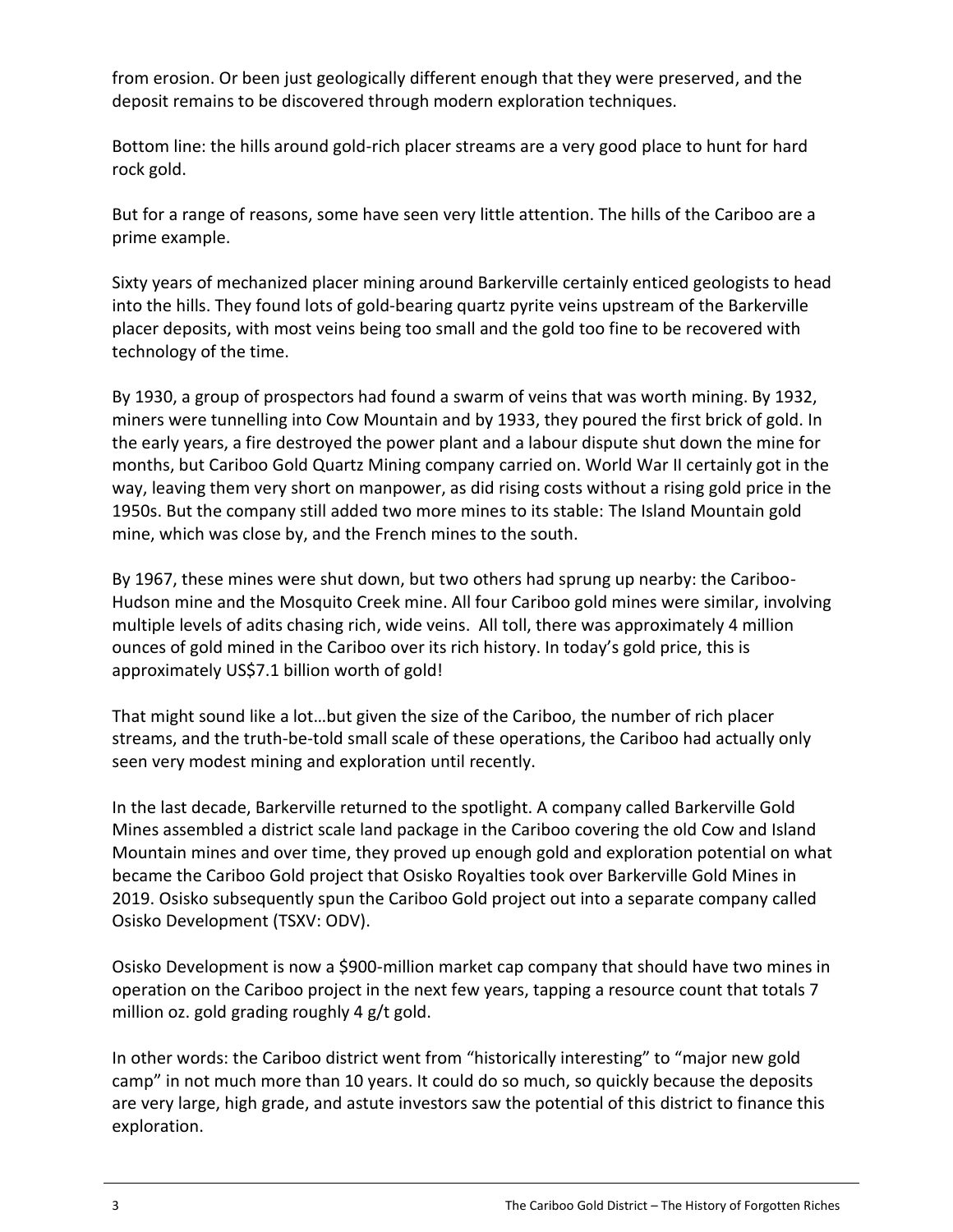from erosion. Or been just geologically different enough that they were preserved, and the deposit remains to be discovered through modern exploration techniques.

Bottom line: the hills around gold-rich placer streams are a very good place to hunt for hard rock gold.

But for a range of reasons, some have seen very little attention. The hills of the Cariboo are a prime example.

Sixty years of mechanized placer mining around Barkerville certainly enticed geologists to head into the hills. They found lots of gold-bearing quartz pyrite veins upstream of the Barkerville placer deposits, with most veins being too small and the gold too fine to be recovered with technology of the time.

By 1930, a group of prospectors had found a swarm of veins that was worth mining. By 1932, miners were tunnelling into Cow Mountain and by 1933, they poured the first brick of gold. In the early years, a fire destroyed the power plant and a labour dispute shut down the mine for months, but Cariboo Gold Quartz Mining company carried on. World War II certainly got in the way, leaving them very short on manpower, as did rising costs without a rising gold price in the 1950s. But the company still added two more mines to its stable: The Island Mountain gold mine, which was close by, and the French mines to the south.

By 1967, these mines were shut down, but two others had sprung up nearby: the Cariboo-Hudson mine and the Mosquito Creek mine. All four Cariboo gold mines were similar, involving multiple levels of adits chasing rich, wide veins. All toll, there was approximately 4 million ounces of gold mined in the Cariboo over its rich history. In today's gold price, this is approximately US\$7.1 billion worth of gold!

That might sound like a lot…but given the size of the Cariboo, the number of rich placer streams, and the truth-be-told small scale of these operations, the Cariboo had actually only seen very modest mining and exploration until recently.

In the last decade, Barkerville returned to the spotlight. A company called Barkerville Gold Mines assembled a district scale land package in the Cariboo covering the old Cow and Island Mountain mines and over time, they proved up enough gold and exploration potential on what became the Cariboo Gold project that Osisko Royalties took over Barkerville Gold Mines in 2019. Osisko subsequently spun the Cariboo Gold project out into a separate company called Osisko Development (TSXV: ODV).

Osisko Development is now a \$900-million market cap company that should have two mines in operation on the Cariboo project in the next few years, tapping a resource count that totals 7 million oz. gold grading roughly 4 g/t gold.

In other words: the Cariboo district went from "historically interesting" to "major new gold camp" in not much more than 10 years. It could do so much, so quickly because the deposits are very large, high grade, and astute investors saw the potential of this district to finance this exploration.